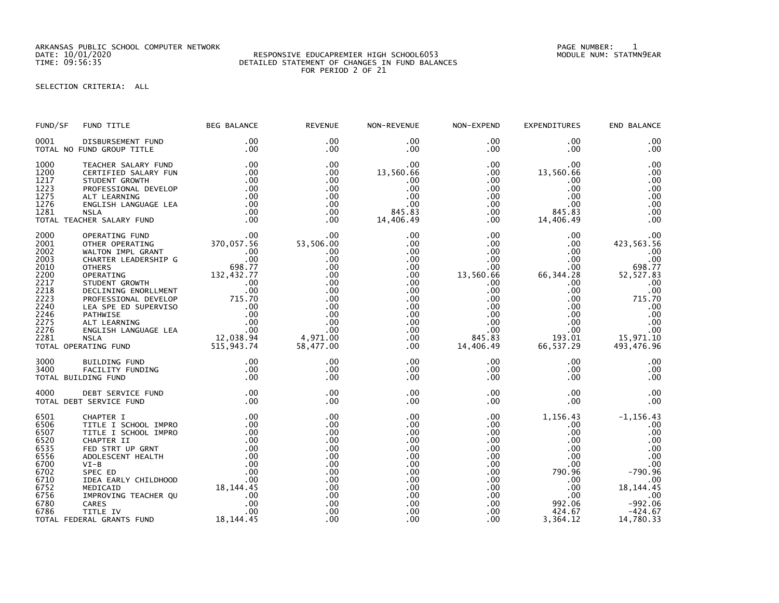ARKANSAS PUBLIC SCHOOL COMPUTER NETWORK PAGE NUMBER: 1

## DATE: 10/01/2020 RESPONSIVE EDUCAPREMIER HIGH SCHOOL6053 MODULE NUM: STATMN9EAR TIME: 09:56:35 DETAILED STATEMENT OF CHANGES IN FUND BALANCES FOR PERIOD 2 OF 21

SELECTION CRITERIA: ALL

| FUND/SF      | FUND TITLE                                                                                                                                                                                                                                         | <b>BEG BALANCE</b> | <b>REVENUE</b>                                                                                                                                                                                  | NON-REVENUE                                                                                                       | NON-EXPEND                     | <b>EXPENDITURES</b>                                                                                                                                         | END BALANCE                                          |
|--------------|----------------------------------------------------------------------------------------------------------------------------------------------------------------------------------------------------------------------------------------------------|--------------------|-------------------------------------------------------------------------------------------------------------------------------------------------------------------------------------------------|-------------------------------------------------------------------------------------------------------------------|--------------------------------|-------------------------------------------------------------------------------------------------------------------------------------------------------------|------------------------------------------------------|
| 0001         | DISBURSEMENT FUND<br>TOTAL NO FUND GROUP TITLE                                                                                                                                                                                                     | $.00 \,$<br>.00    | $.00 \,$<br>$.00 \,$                                                                                                                                                                            | $.00 \,$<br>.00                                                                                                   | $.00\,$<br>$.00\,$             | $.00 \,$<br>.00                                                                                                                                             | .00<br>.00                                           |
|              | 1000 TEACHER SALARY FUND 1200 CERTIFIED SALARY FUN<br>1217 STUDENT GROWTH 100<br>1223 PROFESSIONAL DEVELOP 100<br>1275 ALT LEARNING 1276 ENGLISH LANGUAGE LEA 100<br>1281 NSLA 100<br>1281 TEACHER SALARY FUND 100<br>100<br>100                   |                    | .00<br>$.00 \,$<br>$.00 \,$<br>$.00 \,$<br>$.00 \,$<br>.00<br>.00                                                                                                                               | 00.<br>13,560.66<br>.00<br>$\begin{array}{r} .00 \ .00 \ .00 \ .00 \ .00 \ .00 \ .445.83 \ 14,406.49 \end{array}$ |                                | $\begin{array}{cc} .00 & .00 \ .00 & 13\,, 560\, .66 \ .00 & .00 \ .00 & .00 \ .00 & .00 \ .00 & 0.0 \ .00 & 845\, .83 \ .00 & 14\,, 406\, .49 \end{array}$ | .00<br>.00<br>.00<br>.00<br>.00<br>.00<br>.00<br>.00 |
|              | 2000 OPERATING FUND .00<br>2001 OTHER OPERATING 370,057.56<br>2002 WALTON IMPL GRANT .00<br>2010 OTHER LEADERSHIP G .00<br>2010 OTHER LEADERSHIP G .00<br>2010 OTHERS 698.77<br>2210 OPERATING ENORLMENT .00<br>2218 DECLINING ENORLMENT .00       |                    | $\begin{array}{cc}\n 0.00 \\  0.00 \\  0.00\n\end{array}$<br>53,506.00<br>53,506.00<br>58.77<br>7<br>.00<br>.00<br>.00<br>$\begin{array}{r} .00\ 00\ 00\ 00\ 00\ 00\ 00\ 58,477.00 \end{array}$ |                                                                                                                   |                                |                                                                                                                                                             |                                                      |
| 3000<br>3400 | BUILDING FUND<br>FACILITY FUNDING .00<br>DING FUND .00<br>TOTAL BUILDING FUND                                                                                                                                                                      |                    | .00<br>.00<br>.00                                                                                                                                                                               | $.00 \,$<br>$.00 \,$<br>$.00 \,$                                                                                  | $.00\,$<br>$.00\,$<br>$.00 \,$ | $.00 \,$<br>$.00 \,$<br>$.00 \,$                                                                                                                            | .00<br>.00<br>.00                                    |
| 4000         | DEBT SERVICE FUND .00<br>T SERVICE FUND .00<br>TOTAL DEBT SERVICE FUND                                                                                                                                                                             |                    | .00<br>.00                                                                                                                                                                                      | .00<br>.00                                                                                                        |                                | $0.00$<br>$0.00$                                                                                                                                            | $\frac{0}{00}$<br>.00<br>.00                         |
|              | 6501 CHAPTER I<br>6506 TITLE I SCHOOL IMPRO .00<br>6507 TITLE I SCHOOL IMPRO .00<br>6520 CHAPTER II .00<br>6520 CHAPTER II .00<br>6535 FED STRT UP GRNT .00<br>6702 ADOLESCENT HEALTH .00<br>6700 VI-B<br>6702 SPEC ED .00<br>6702 SPEC ED .00<br> |                    | .00<br>.00<br>.00<br>.00<br>.00<br>.00<br>.00<br>.00<br>.00<br>.00<br>.00<br>.00<br>.00<br>.00                                                                                                  | .00<br>$.00 \,$<br>.00<br>.00<br>.00<br>$.00 \,$<br>.00<br>$.00 \,$<br>.00<br>.00<br>.00<br>.00<br>.00<br>.00     | .00<br>$.00 \,$                | 424.67<br>3,364.12                                                                                                                                          | $-424.67$<br>14,780.33                               |